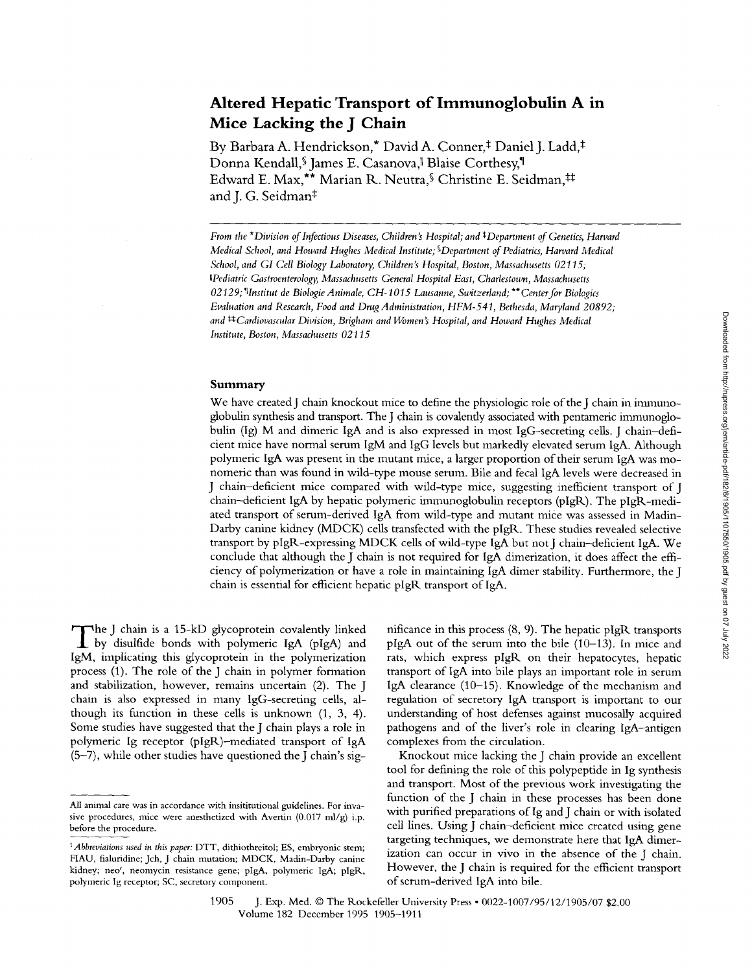# Altered Hepatic Transport of Immunoglobulin A in Mice Lacking the J Chain

By Barbara A. Hendrickson,\* David A. Conner,‡ Daniel J. Ladd,‡ Donna Kendall, James E. Casanova, Blaise Corthesy, Edward E. Max,\*\* Marian R. Neutra, Christine E. Seidman,## and J. G. Seidman<sup>‡</sup>

From the 'Division of Infectious Diseases, Children's Hospital; and \$Department of Genetics, Harvard Medical School, and Howard Hughes Medical Institute; §Department of Pediatrics, Harvard Medical School, and GI Cell Biology Laboratory, Children's Hospital, Boston, Massachusetts 02115; ~Tediatric Gastroenterology, Massachusetts General Hospital East, Charlestown, Massachusetts 02129; Institut de Biologie Animale, CH-1015 Lausanne, Switzerland; \*\* Center for Biologics Evaluation and Research, Food and Drug Administration, HFM-541, Bethesda, Maryland 20892; and  $#$ Cardiovascular Division, Brigham and Women's Hospital, and Howard Hughes Medical Institute, Boston, Massachusetts 02115

#### Summary

We have created  $J \Gamma$  chain knockout mice to define the physiologic role of the  $J \Gamma$  chain in immunoglobulin synthesis and transport. The <sup>J</sup> chain is covalently associated with pentameric immunoglobulin (Ig) M and dimeric IgA and is also expressed in most IgG-secreting cells. J chain-deficient mice have normal serum IgM and IgG levels but markedly elevated serum IgA. Although polymeric IgA was present in the mutant mice, <sup>a</sup> larger proportion of their serum IgA was monomeric than was found in wild-type mouse serum. Bile and fecal IgA levels were decreased in J chain-deficient mice compared with wild-type mice, suggesting inefficient transport of J chain-deficient IgA by hepatic polymeric immunoglobulin receptors (pIgR) . The pIgR-mediated transport of serum-derived IgA from wild-type and mutant mice was assessed in Madin-Darby canine kidney (MDCK) cells transfected with the pIgR. These studies revealed selective transport by pIgR-expressing MDCK cells ofwild-type IgA but notj chain-deficient IgA. We conclude that although the J chain is not required for IgA dimerization, it does affect the efficiency of polymerization or have a role in maintaining IgA dimer stability . Furthermore, the J chain is essential for efficient hepatic pIgR transport of IgA.

 $\prod_{\rm IgM}$ he J chain is a 15-kD glycoprotein covalently linked by disulfide bonds with polymeric IgA (pIgR) and IgM, implicating this glycoprotein in the polymerization process (1) . The role of the J chain in polymer formation and stabilization, however, remains uncertain (2). The J chain is also expressed in many IgG-secreting cells, although its function in these cells is unknown  $(1, 3, 4)$ . Some studies have suggested that the J chain plays a role in polymeric Ig receptor (pIgR)-mediated transport of IgA (5-7), while other studies have questioned the J chain's sig-

nificance in this process (8, 9) . The hepatic pIgR transports pIgA out of the serum into the bile (10-13) . In mice and rats, which express pIgR on their hepatocytes, hepatic transport of IgA into bile plays an important role in serum IgA clearance (10-15) . Knowledge of the mechanism and regulation of secretory IgA transport is important to our understanding of host defenses against mucosally acquired pathogens and of the liver's role in clearing IgA-antigen complexes from the circulation.

Knockout mice lacking the J chain provide an excellent tool for defining the role of this polypeptide in Ig synthesis and transport. Most of the previous work investigating the function of the J chain in these processes has been done with purified preparations of Ig and J chain or with isolated cell lines. Using J chain-deficient mice created using gene targeting techniques, we demonstrate here that IgA dimerization can occur in vivo in the absence of the J chain. However, the J chain is required for the efficient transport of serum-derived IgA into bile.

All animal care was in accordance with insititutional guidelines. For invasive procedures, mice were anesthetized with Avertin  $(0.017 \text{ ml/g})$  i.p. before the procedure.

 $<sup>1</sup> Abbreviations used in this paper: DTT, dithiothreitol; ES, embryonic stem;$ </sup> FIAU, fialuridine; Jch, J chain mutation; MDCK, Madin-Darby canine kidney; neo<sup>r</sup>, neomycin resistance gene; pIgA, polymeric IgA; pIgR, polymeric Ig receptor; SC, secretory component.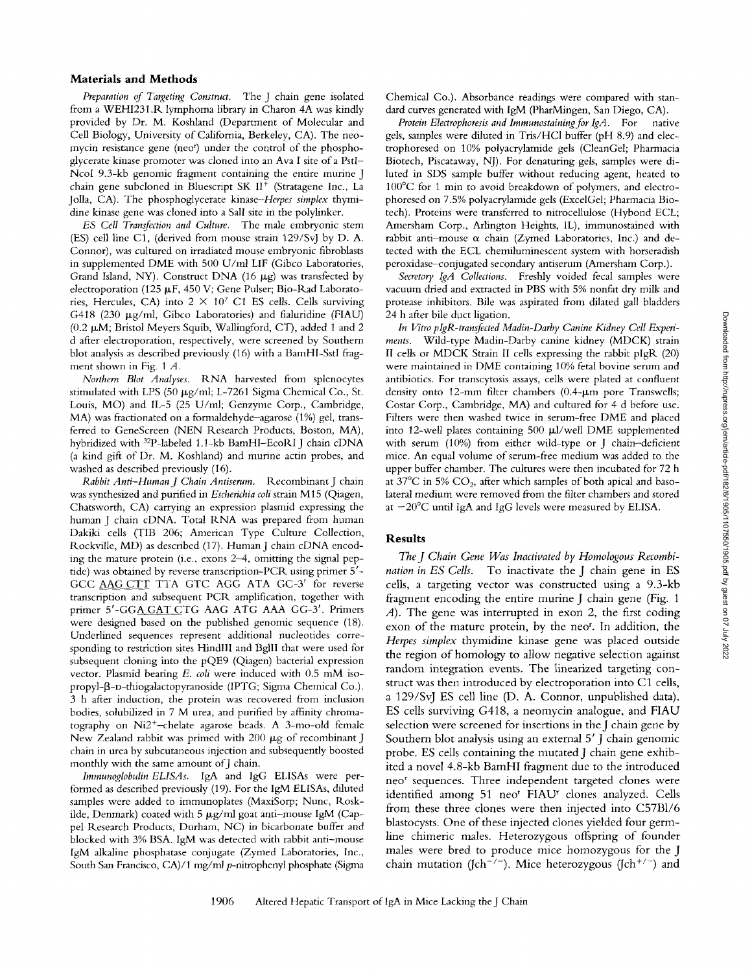#### Materials and Methods

Preparation of Targeting Construct. The J chain gene isolated from <sup>a</sup> WEHI231 .R lymphoma library in Charon 4A was kindly provided by Dr, M. Koshland (Department of Molecular and Cell Biology, University of California, Berkeley, CA). The neornycin resistance gene (neo') under the control of the phosphoglycerate kinase promoter was cloned into an Ava I site of a PstI-Ncol 9.3-kb genomic fragment containing the entire murine J chain gene subdoned in Bluescript SK <sup>11</sup>' (Stratagene Inc., La Jolla, CA). The phosphoglycerate kinase-Herpes simplex thymidine kinase gene was cloned into a Sall site in the polylinker.

ES Cell Transfection and Culture. The male embryonic stem (ES) cell line Cl, (derived from mouse strain 129/SvJ by D. A. Connor), was cultured on irradiated mouse embryonic fibroblasts in supplemented DME with <sup>500</sup> U/ml LIF (Gibco Laboratories, Grand Island, NY). Construct DNA (16  $\mu$ g) was transfected by electroporation (125 µF, 450 V; Gene Pulser; Bio-Rad Laboratories, Hercules, CA) into  $2 \times 10^7$  C1 ES cells. Cells surviving G418 (230 wg/ml, Gibco Laboratories) and fialuridine (FIAU)  $(0.2 \mu M;$  Bristol Meyers Squib, Wallingford, CT), added 1 and 2 d after electroporation, respectively, were screened by Southern blot analysis as described previously (16) with a BamHI-Sstl fragment shown in Fig. <sup>1</sup> A.

Northern Blot Analyses. RNA harvested from splenocytes stimulated with LPS (50  $\mu$ g/ml; L-7261 Sigma Chemical Co., St. Louis, MO) and IL-5 (25 U/ml; Genzyme Corp., Cambridge, MA) was fractionated on <sup>a</sup> formaldehyde-agarose (1%) gel, transferred to GeneScreen (NEN Research Products, Boston, MA), hybridized with <sup>32</sup>P-labeled 1.1-kb BamHI-EcoRI J chain cDNA (a kind gift of Dr. M. Koshland) and murine actin probes, and washed as described previously  $(16)$ .

Rabbit Anti-Human J Chain Antiserum. Recombinant J chain was synthesized and purified in Escherichia coli strain M15 (Qiagen, Chatsworth, CA) carrying an expression plasmid expressing the human <sup>J</sup> chain cDNA. Total RNA was prepared from human Dakiki cells (TIB 206; American Type Culture Collection, Rockville, MD) as described (17). Human J chain cDNA encoding the mature protein (i.e., exons 2–4, omitting the signal peptide) was obtained by reverse transcription-PCR using primer 5'- GCC AAG CTT TTA GTC AGG ATA GC-3' for reverse transcription and subsequent PCR amplification, together with primer 5'-GGA GAT CTG AAG ATG AAA GG-3'. Primers were designed based on the published genomic sequence (18) . Underlined sequences represent additional nucleotides corresponding to restriction sites HindIII and Bg1II that were used for subsequent cloning into the pQE9 (Qiagen) bacterial expression vector. Plasmid bearing E. coli were induced with 0.5 mM isopropyl- $\beta$ -D-thiogalactopyranoside (IPTG; Sigma Chemical Co.). <sup>3</sup> h after induction, the protein was recovered from inclusion bodies, solubilized in <sup>7</sup> M urea, and purified by affinity chromatography on Ni2+-chelate agarose beads. A 3-mo-old female New Zealand rabbit was primed with  $200 \mu g$  of recombinant J chain in urea by subcutaneous injection and subsequently boosted monthly with the same amount of J chain.

Immunoglobulin ELISAs. IgA and IgG ELISAs were performed as described previously (19) . For the IgM ELISAs, diluted samples were added to immunoplates (MaxiSorp; Nunc, Roskilde, Denmark) coated with 5  $\mu$ g/ml goat anti-mouse IgM (Cappel Research Products, Durham, NC) in bicarbonate buffer and blocked with 3% BSA. IgM was detected with rabbit anti-mouse IgM alkaline phosphatase conjugate (Zymed Laboratories, Inc., South San Francisco, CA)/1 mg/ml p-nitropheryl phosphate (Sigma

Chemical Co.) . Absorbance readings were compared with standard curves generated with IgM (PharMingen, San Diego, CA).

Protein Electrophoresis and Immunostaining for IgA. For native gels, samples were diluted in Tris/HCl buffer (pH 8.9) and electrophoresed on 10% polyacrylamide gels (CleanGel; Pharmacia Biotech, Piscataway, NJ). For denaturing gels, samples were diluted in SDS sample buffer without reducing agent, heated to 100°C for <sup>1</sup> min to avoid breakdown of polymers, and electrophoresed on <sup>7</sup> .5% polyacrylamide gels (ExcelGel; Pharmacia Biotech). Proteins were transferred to nitrocellulose (Hybond ECL; Amersham Corp., Arlington Heights, IL), immunostained with rabbit anti-mouse  $\alpha$  chain (Zymed Laboratories, Inc.) and detected with the ECL chemiluminescent system with horseradish peroxidase-conjugated secondary antiserum (Amersham Corp.) .

Secretory IgA Collections. Freshly voided fecal samples were vacuum dried and extracted in PBS with 5% nonfat dry milk and protease inhibitors. Bile was aspirated from dilated gall bladders 24 h after bile duct ligation.

In Vitro pIgR-transfected Madin-Darby Canine Kidney Cell Experiments. Wild-type Madin-Darby canine kidney (MDCK) strain Il cells or MDCK Strain II cells expressing the rabbit pIgR (20) were maintained in DME containing 10% fetal bovine serum and antibiotics . For transcytosis assays, cells were plated at confluent density onto 12-mm filter chambers  $(0.4 - \mu m)$  pore Transwells; Costar Corp., Cambridge, MA) and cultured for 4 d before use. Filters were then washed twice in serum-free DME and placed into 12-well plates containing 500  $\mu$ l/well DME supplemented with serum (10%) from either wild-type or J chain-deficient mice . An equal volume of serum-free medium was added to the upper buffer chamber. The cultures were then incubated for 72 h at  $37^{\circ}$ C in 5% CO<sub>2</sub>, after which samples of both apical and basolateral medium were removed from the filter chambers and stored at  $-20^{\circ}$ C until IgA and IgG levels were measured by ELISA.

## Results

The J Chain Gene Was Inactivated by Homologous Recombination in  $ES$  Cells. To inactivate the  $\overline{I}$  chain gene in ES cells, a targeting vector was constructed using <sup>a</sup> 9.3-kb fragment encoding the entire murine J chain gene (Fig. 1) A). The gene was interrupted in exon 2, the first coding exon of the mature protein, by the neo<sup>r</sup>. In addition, the Herpes simplex thymidine kinase gene was placed outside the region of homology to allow negative selection against random integration events. The linearized targeting construct was then introduced by electroporation into C1 cells, <sup>a</sup> 129/SvJ ES cell line (D. A. Connor, unpublished data) . ES cells surviving G418, <sup>a</sup> neomycin analogue, and FIAU selection were screened for insertions in the J chain gene by Southern blot analysis using an external 5' J chain genomic probe. ES cells containing the mutated J chain gene exhibited a novel 4.8-kb BamHI fragment due to the introduced neo<sup>r</sup> sequences. Three independent targeted clones were identified among 51 neo' FIAU' clones analyzed. Cells from these three clones were then injected into C57B1/6 blastocysts. One of these injected clones yielded four germline chimeric males. Heterozygous offspring of founder males were bred to produce mice homozygous for the J chain mutation (Jch<sup>-/-</sup>). Mice heterozygous (Jch<sup>+/-</sup>) and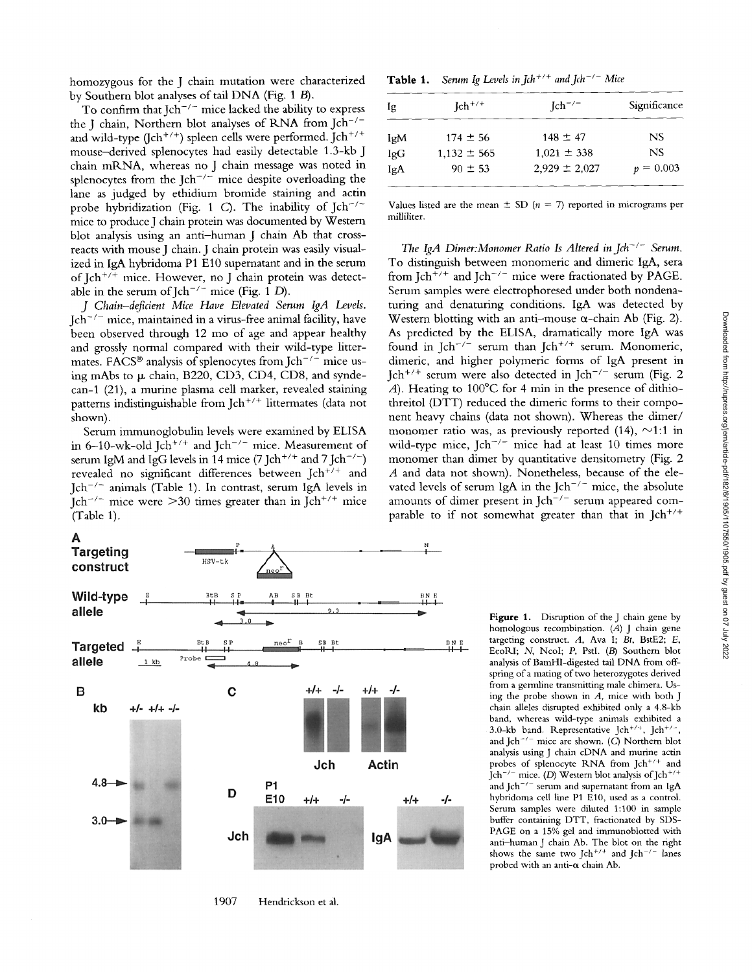homozygous for the J chain mutation were characterized by Southern blot analyses of tail DNA (Fig. 1 B).

To confirm that  $\int_{0}^{\frac{1}{-}}$  mice lacked the ability to express the J chain, Northern blot analyses of RNA from  $Jch^{-/-}$ and wild-type (Jch<sup>+/+</sup>) spleen cells were performed. Jch<sup>+/+</sup> mouse-derived splenocytes had easily detectable <sup>1</sup> .3-kb J chain mRNA, whereas no <sup>J</sup> chain message was noted in splenocytes from the Jch<sup>-/-</sup> mice despite overloading the lane as judged by ethidium bromide staining and actin probe hybridization (Fig. 1 C). The inability of  $Jch^{-/-}$ mice to produce J chain protein was documented by Western blot analysis using an anti-human J chain Ab that crossreacts with mouse J chain. J chain protein was easily visualized in IgA hybridoma P1 E10 supernatant and in the serum of Jch<sup>+/+</sup> mice. However, no J chain protein was detectable in the serum of  $\int ch^{-/-}$  mice (Fig. 1 D).

J Chain-deficient Mice Have Elevated Serum IgA Levels .  $Jch^{-/-}$  mice, maintained in a virus-free animal facility, have been observed through <sup>12</sup> mo of age and appear healthy and grossly normal compared with their wild-type littermates. FACS<sup>®</sup> analysis of splenocytes from Jch<sup>-/-</sup> mice using mAbs to  $\mu$  chain, B220, CD3, CD4, CD8, and syndecan-1 (21), a murine plasma cell marker, revealed staining patterns indistinguishable from  $Jch^{+/+}$  littermates (data not shown).

Serum immunoglobulin levels were examined by ELISA in 6-10-wk-old Jch<sup>+/+</sup> and Jch<sup>-/-</sup> mice. Measurement of serum IgM and IgG levels in 14 mice (7 Jch<sup>+/+</sup> and 7 Jch<sup>-/-</sup>) revealed no significant differences between  $Jch^{+/+}$  and Jch<sup>-/-</sup> animals (Table 1). In contrast, serum IgA levels in Ich<sup>-/-</sup> mice were  $>$ 30 times greater than in Jch<sup>+/+</sup> mice (Table 1) .



1907 Hendrickson et al.

**Table 1.** Serum Ig Levels in Jch<sup>+/+</sup> and Jch<sup>-/-</sup> Mice

| <sub>1g</sub>  | $\mathsf{Ich}^{+/+}$ | $\mathsf{Ich}^{-/-}$ | Significance |
|----------------|----------------------|----------------------|--------------|
| IgM            | $174 \pm 56$         | $148 \pm 47$         | NS.          |
| <sub>IgG</sub> | $1,132 \pm 565$      | $1,021 \pm 338$      | NS.          |
| IgA            | $90 \pm 53$          | $2,929 \pm 2,027$    | $p = 0.003$  |

Values listed are the mean  $\pm$  SD ( $n = 7$ ) reported in micrograms per milliliter .

The IgA Dimer: Monomer Ratio Is Altered in Jch<sup>-1-</sup> Serum. To distinguish between monomeric and dimeric IgA, sera from  $\lceil \text{ch}^{+}\rceil$  and  $\lceil \text{ch}^{-}\rceil$  mice were fractionated by PAGE. Serum samples were electrophoresed under both nondenaturing and denaturing conditions. IgA was detected by Western blotting with an anti-mouse  $\alpha$ -chain Ab (Fig. 2). As predicted by the ELISA, dramatically more IgA was found in  $\lceil \frac{ch^{-1}}{2} \rceil$  serum than  $\lceil \frac{ch^{+1}}{2} \rceil$  serum. Monomeric, dimeric, and higher polymeric forms of IgA present in Jch<sup>+/+</sup> serum were also detected in Jch<sup>-/-</sup> serum (Fig. 2) A). Heating to  $100^{\circ}$ C for 4 min in the presence of dithiothreitol (DTT) reduced the dimeric forms to their component heavy chains (data not shown). Whereas the dimer/ monomer ratio was, as previously reported (14),  $\sim$ 1:1 in wild-type mice,  $\int$ ch<sup>- $/$ -</sup> mice had at least 10 times more monomer than dimer by quantitative densitometry (Fig. 2 A and data not shown). Nonetheless, because of the elevated levels of serum IgA in the Jch<sup> $-/-$ </sup> mice, the absolute amounts of dimer present in  $Jch^{-/-}$  serum appeared comparable to if not somewhat greater than that in  $Jch^{+/+}$ 

Figure 1. Disruption of the J chain gene by homologous recombination. (A) J chain gene targeting construct. A, Ava I;  $\overline{B}t$ , BstE2; E, EcoRI; N, NcoI; P, PstI. (B) Southern blot analysis of BamHI-digested tail DNA from offspring of a mating of two heterozygotes derived from a germline transmitting male chimera. Using the probe shown in  $A$ , mice with both J chain alleles disrupted exhibited only <sup>a</sup> 4.8-kb band, whereas wild-type animals exhibited <sup>a</sup> 3.0-kb band. Representative Jch<sup>+/+</sup>, Jch<sup>+/-</sup>, and Jch<sup>-/-</sup> mice are shown. (C) Northern blot analysis using <sup>J</sup> chain cDNA and murine actin probes of splenocyte RNA from Jch+/+ and Jch<sup>-/-</sup> mice. (D) Western blot analysis of Jch<sup>+/+</sup> and Jch<sup>-/-</sup> serum and supernatant from an IgA hybridoma cell line Pl E10, used as a control. Serum samples were diluted <sup>1</sup> :100 in sample buffer containing DTT, fractionated by SDS-PAGE on <sup>a</sup> 15% gel and immunoblotted with anti-human J chain Ab. The blot on the right shows the same two  $Jch^{+/+}$  and  $Jch^{-/-}$  lanes probed with an anti- $\alpha$  chain Ab.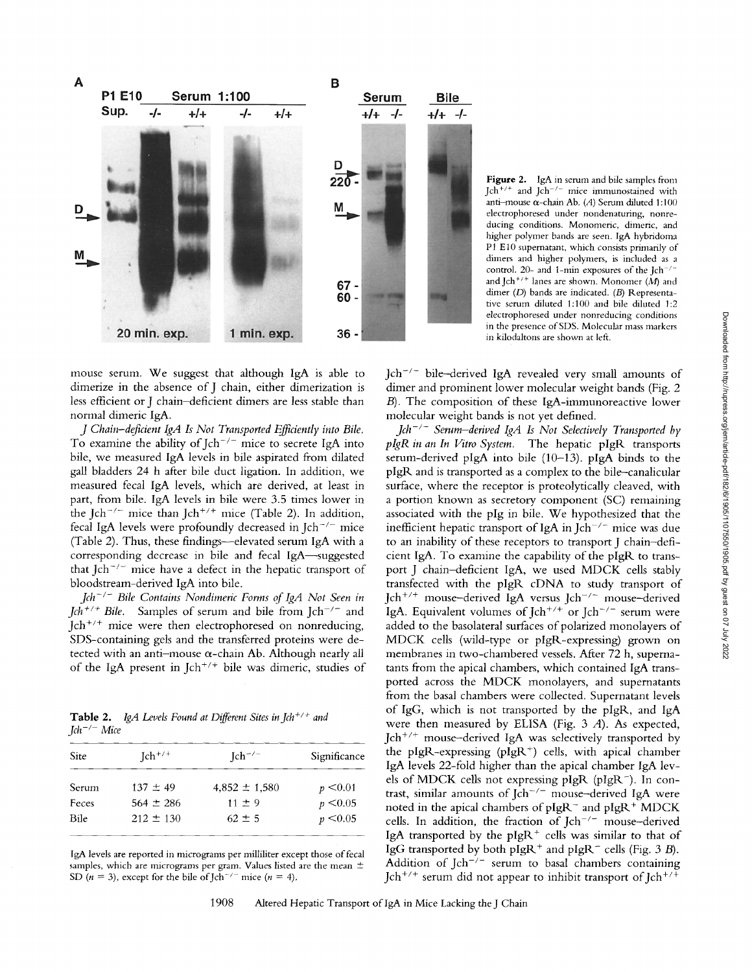

 $Jch^{+/+}$  and  $Jch^{-/-}$  mice immunostained with anti-mouse  $\alpha$ -chain Ab. (A) Serum diluted 1:100 electrophoresed under nondenaturing, nonreducing conditions. Monomeric, dimeric, and higher polymer bands are seen. IgA hybridoma P1 E10 supernatant, which consists primarily of dimers and higher polymers, is included as <sup>a</sup> control. 20- and 1-min exposures of the Jch<sup> $-$ </sup> and Jch<sup>+/+</sup> lanes are shown. Monomer  $(M)$  and dimer  $(D)$  bands are indicated.  $(B)$  Representative serum diluted 1:100 and bile diluted 1:2 electrophoresed under nonreducing conditions in the presence of SDS. Molecular mass markers in kilodaltons are shown at left.

mouse serum. We suggest that although IgA is able to dimerize in the absence of J chain, either dimerization is less efficient or J chain-deficient dimers are less stable than normal dimeric IgA.

J Chain-deficient IgA Is Not Transported Efficiently into Bile . To examine the ability of  $J\chi$ ch<sup>-/-</sup> mice to secrete IgA into bile, we measured IgA levels in bile aspirated from dilated gall bladders 24 h after bile duct ligation. In addition, we measured fecal IgA levels, which are derived, at least in part, from bile. IgA levels in bile were 3.5 times lower in the Jch<sup>-/-</sup> mice than Jch<sup>+/+</sup> mice (Table 2). In addition, fecal IgA levels were profoundly decreased in  $Jch^{-/-}$  mice (Table 2). Thus, these findings—elevated serum IgA with a corresponding decrease in bile and fecal IgA-suggested that  $Jch^{-/-}$  mice have a defect in the hepatic transport of bloodstream-derived IgA into bile.

 $Jch^{-/-}$  Bile Contains Nondimeric Forms of IgA Not Seen in  $Ich^{+/+}$  Bile. Samples of serum and bile from  $Ich^{-/-}$  and  $Jch^{+/+}$  mice were then electrophoresed on nonreducing, SDS-containing gels and the transferred proteins were detected with an anti-mouse  $\alpha$ -chain Ab. Although nearly all of the IgA present in  $Jch^{+/+}$  bile was dimeric, studies of

**Table 2.** IgA Levels Found at Different Sites in  $Jch^{+/+}$  and  $Jch^{-/-}$  Mice

| Site  | $I$ ch <sup>+/+</sup> | $\lceil \text{ch}^{-/-} \rceil$ | Significance |
|-------|-----------------------|---------------------------------|--------------|
| Serum | $137 \pm 49$          | $4,852 \pm 1,580$               | p < 0.01     |
| Feces | $564 \pm 286$         | $11 \pm 9$                      | p < 0.05     |
| Bile  | $212 \pm 130$         | $62 \pm 5$                      | p < 0.05     |

IgA levels are reported in micrograms per milliliter except those of fecal samples, which are micrograms per gram. Values listed are the mean  $\pm$ SD ( $n = 3$ ), except for the bile of Jch<sup>-/-</sup> mice ( $n = 4$ ).

Jch<sup>-/-</sup> bile-derived IgA revealed very small amounts of dimer and prominent lower molecular weight bands (Fig. 2  $B$ ). The composition of these IgA-immunoreactive lower molecular weight bands is not yet defined.

Jch<sup>-/-</sup> Serum-derived IgA Is Not Selectively Transported by  $pIgR$  in an In Vitro System. The hepatic  $pIgR$  transports serum-derived pIgA into bile  $(10-13)$ , pIgA binds to the pIgR and is transported as <sup>a</sup> complex to the bile-canalicular surface, where the receptor is proteolytically cleaved, with a portion known as secretory component (SC) remaining associated with the pIg in bile. We hypothesized that the inefficient hepatic transport of IgA in Jch<sup>-/-</sup> mice was due to an inability of these receptors to transport J chain-deficient IgA. To examine the capability of the pIgR to transport J chain-deficient IgA, we used MDCK cells stably transfected with the pIgR cDNA to study transport of Jch<sup>+/+</sup> mouse-derived IgA versus Jch<sup>-/-</sup> mouse-derived IgA. Equivalent volumes of  $\int$ ch<sup>+/+</sup> or  $\int$ ch<sup>-/-</sup> serum were added to the basolateral surfaces of polarized monolayers of MDCK cells (wild-type or pIgR-expressing) grown on membranes in two-chambered vessels . After 72 h, supernatants from the apical chambers, which contained IgA transported across the MDCK monolayers, and supernatants from the basal chambers were collected. Supernatant levels of IgG, which is not transported by the pIgR, and IgA were then measured by ELISA (Fig. 3 A). As expected,  $Jch^{+/+}$  mouse-derived IgA was selectively transported by the pIgR-expressing (pIgR<sup>+</sup>) cells, with apical chamber IgA levels 22-fold higher than the apical chamber IgA levels of MDCK cells not expressing pIgR (pIgR<sup>-</sup>). In contrast, similar amounts of  $Jch^{-/-}$  mouse-derived IgA were noted in the apical chambers of  $pIgR^-$  and  $pIgR^+$  MDCK cells. In addition, the fraction of  $\int_{c}^{c}$  mouse-derived IgA transported by the  $pIgR<sup>+</sup>$  cells was similar to that of IgG transported by both  $pIgR^+$  and  $pIgR^-$  cells (Fig. 3 B). Addition of Jch<sup>-/-</sup> serum to basal chambers containing Jch<sup>+/+</sup> serum did not appear to inhibit transport of Jch<sup>+/+</sup>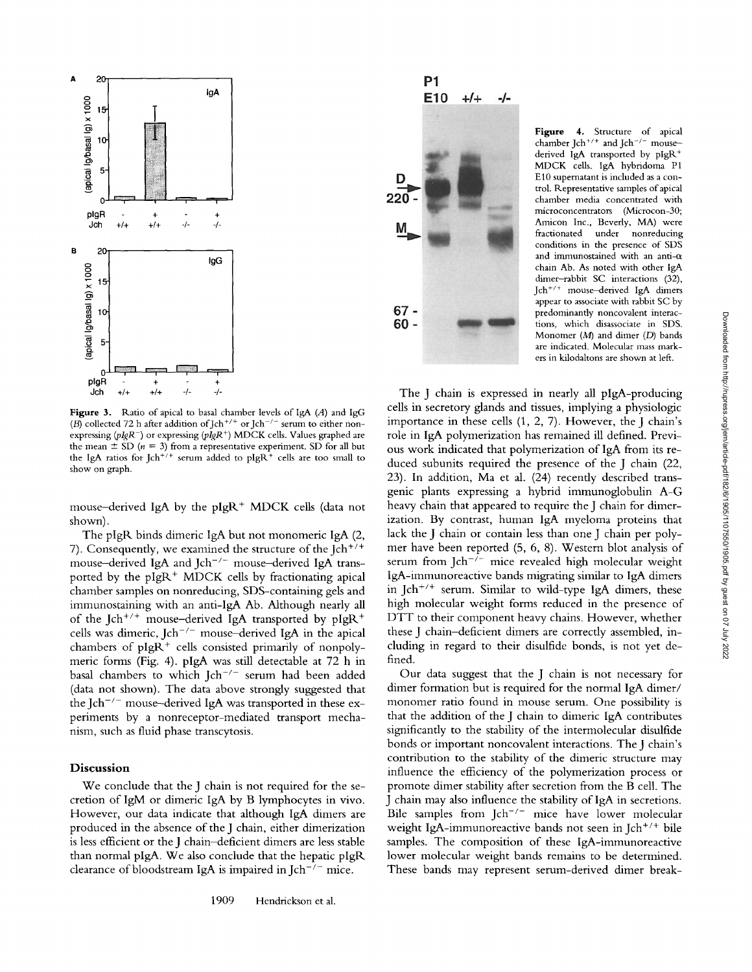

Figure 3. Ratio of apical to basal chamber levels of IgA  $(A)$  and IgG (B) collected 72 h after addition of Jch<sup>+/+</sup> or Jch<sup>-/-</sup> serum to either nonexpressing (pIgR<sup>-</sup>) or expressing (pIgR<sup>+</sup>) MDCK cells. Values graphed are the mean  $\pm$  SD (n = 3) from a representative experiment. SD for all but the IgA ratios for  $Jch^{+/+}$  serum added to pIgR<sup>+</sup> cells are too small to show on graph.

mouse-derived IgA by the pIgR+ MDCK cells (data not shown).

The pIgR binds dimeric IgA but not monomeric IgA (2, 7). Consequently, we examined the structure of the  $Jch^{+/+}$ mouse-derived IgA and Jch<sup>- $/-$ </sup> mouse-derived IgA transported by the pIgR+ MDCK cells by fractionating apical chamber samples on nonreducing, SDS-containing gels and immunostaining with an anti-IgA Ab. Although nearly all of the  $\lceil \text{ch}^{+/+} \rceil$  mouse-derived IgA transported by pIgR<sup>+</sup> cells was dimeric,  $Jch^{-/-}$  mouse-derived IgA in the apical chambers of  $pIgR<sup>+</sup>$  cells consisted primarily of nonpolymeric forms (Fig. 4). pIgA was still detectable at 72 h in basal chambers to which Jch<sup>-/-</sup> serum had been added (data not shown). The data above strongly suggested that the Jch<sup> $-/-$ </sup> mouse-derived IgA was transported in these experiments by a nonreceptor-mediated transport mechanism, such as fluid phase transcytosis .

# Discussion

We conclude that the J chain is not required for the secretion of IgM or dimeric IgA by B lymphocytes in vivo. However, our data indicate that although IgA dimers are produced in the absence of the <sup>J</sup> chain, either dimerization is less efficient or the J chain-deficient dimers are less stable than normal pIgA. We also conclude that the hepatic pIgR clearance of bloodstream IgA is impaired in  $Jch^{-/-}$  mice.



Figure 4. Structure of apical chamber Jch<sup>+/+</sup> and Jch<sup>-/-</sup> mousederived IgA transported by pIgR+ MDCK cells . IgA hybridoma P1 E10 supernatant is included as a control. Representative samples of apical chamber media concentrated with microconcentrators (Microcon-30; Amicon Inc., Beverly, MA) were fractionated under nonreducing conditions in the presence of SDS and immunostained with an anti- $\alpha$ chain Ab. As noted with other IgA dimer-rabbit SC interactions (32), Jch<sup>+/+</sup> mouse-derived IgA dimers appear to associate with rabbit SC by predominantly noncovalent interactions, which disassociate in SDS. Monomer  $(M)$  and dimer  $(D)$  bands are indicated. Molecular mass markers in kilodaltons are shown at left.

The <sup>J</sup> chain is expressed in nearly all pIgA-producing cells in secretory glands and tissues, implying a physiologic importance in these cells (1, 2, 7) . However, the J chain's role in IgA polymerization has remained ill defined. Previous work indicated that polymerization of IgA from its reduced subunits required the presence of the J chain (22, 23). In addition, Ma et al. (24) recently described transgenic plants expressing <sup>a</sup> hybrid immunoglobulin A-G heavy chain that appeared to require the J chain for dimerization. By contrast, human IgA myeloma proteins that lack the J chain or contain less than one J chain per polymer have been reported (5, 6, 8) . Western blot analysis of serum from  $Jch^{-/-}$  mice revealed high molecular weight IgA-immunoreactive bands migrating similar to IgA dimers in  $\lceil \text{ch}^{+/+} \rceil$  serum. Similar to wild-type IgA dimers, these high molecular weight forms reduced in the presence of DTT to their component heavy chains . However, whether these J chain-deficient dimers are correctly assembled, including in regard to their disulfide bonds, is not yet defined.

Our data suggest that the J chain is not necessary for dimer formation but is required for the normal IgA dimer/ monomer ratio found in mouse serum. One possibility is that the addition of the <sup>J</sup> chain to dimeric IgA contributes significantly to the stability of the intermolecular disulfide bonds or important noncovalent interactions . The <sup>J</sup> chain's contribution to the stability of the dimeric structure may influence the efficiency of the polymerization process or promote dimer stability after secretion from the B cell. The J chain may also influence the stability of IgA in secretions . Bile samples from  $Jch^{-/-}$  mice have lower molecular weight IgA-immunoreactive bands not seen in  $\mathrm{Ich}^{+/+}$  bile samples. The composition of these IgA-immunoreactive lower molecular weight bands remains to be determined. These bands may represent serum-derived dimer break-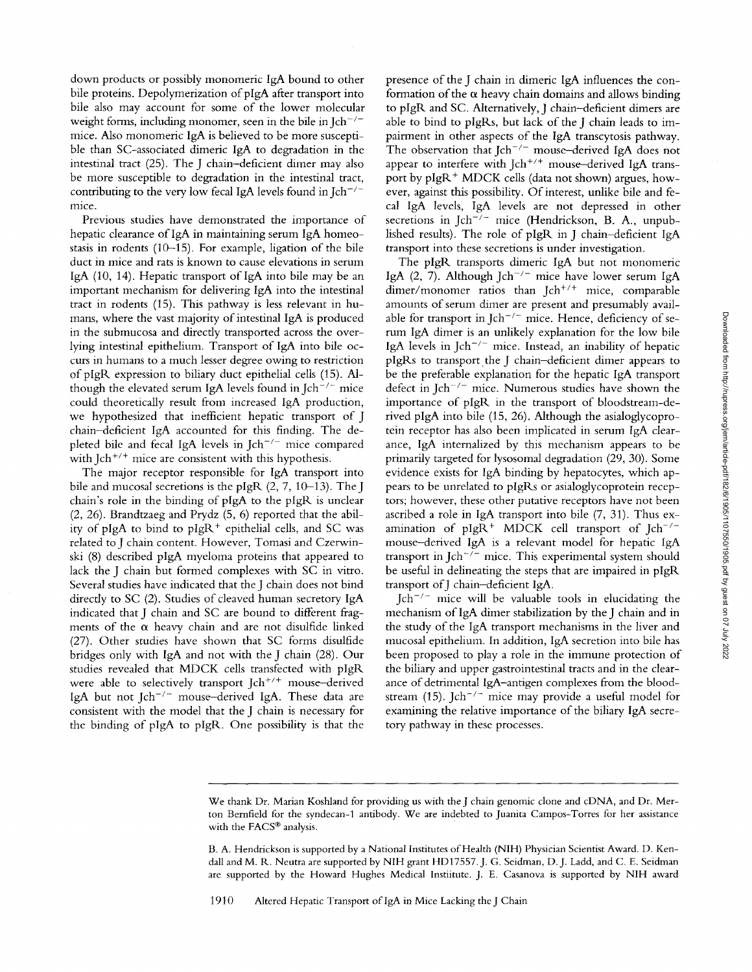down products or possibly monomeric IgA bound to other bile proteins. Depolymerization of pIgA after transport into bile also may account for some of the lower molecular weight forms, including monomer, seen in the bile in  $Jch^{-/-}$ mice. Also monomeric IgA is believed to be more susceptible than SC-associated dimeric IgA to degradation in the intestinal tract (25) . The <sup>J</sup> chain-deficient dimer may also be more susceptible to degradation in the intestinal tract, contributing to the very low fecal IgA levels found in  $\text{Jch}^{-1}$ mice.

Previous studies have demonstrated the importance of hepatic clearance of IgA in maintaining serum IgA homeostasis in rodents  $(10-15)$ . For example, ligation of the bile duct in mice and rats is known to cause elevations in serum IgA (10, 14). Hepatic transport of IgA into bile may be an important mechanism for delivering IgA into the intestinal tract in rodents (15) . This pathway is less relevant in humans, where the vast majority of intestinal IgA is produced in the submucosa and directly transported across the overlying intestinal epithelium. Transport of IgA into bile occurs in humans to <sup>a</sup> much lesser degree owing to restriction of pIgR expression to biliary duct epithelial cells (15). Although the elevated serum IgA levels found in  $Jch^{-/-}$  mice could theoretically result from increased IgA production, we hypothesized that inefficient hepatic transport of <sup>J</sup> chain-deficient IgA accounted for this finding. The depleted bile and fecal IgA levels in  $Jch^{-/-}$  mice compared with  $J\ch{+/-}$  mice are consistent with this hypothesis.

The major receptor responsible for IgA transport into bile and mucosal secretions is the pIgR (2, 7, 10-13). The J chain's role in the binding of pIgR to the pIgR is unclear (2, 26) . Brandtzaeg and Prydz (5, 6) reported that the ability of pIgA to bind to  $pIgR$ <sup>+</sup> epithelial cells, and SC was related to J chain content. However, Tomasi and Czerwinski (8) described pIgR myeloma proteins that appeared to lack the J chain but formed complexes with SC in vitro. Several studies have indicated that the J chain does not bind directly to SC (2). Studies of cleaved human secretory IgA indicated that <sup>J</sup> chain and SC are bound to different fragments of the  $\alpha$  heavy chain and are not disulfide linked (27) . Other studies have shown that SC forms disulfide bridges only with IgA and not with the J chain (28) . Our studies revealed that MDCK cells transfected with pIgR were able to selectively transport  $Jch^{+/+}$  mouse-derived IgA but not  $Jch^{-/-}$  mouse-derived IgA. These data are consistent with the model that the J chain is necessary for the binding of pIgR to pIgR. One possibility is that the

presence of the J chain in dimeric IgA influences the conformation of the  $\alpha$  heavy chain domains and allows binding to pIgR and SC. Alternatively, <sup>J</sup> chain-deficient dimers are able to bind to pIgRs, but lack of the J chain leads to impairment in other aspects of the IgA transcytosis pathway. The observation that  $Jch^{-/-}$  mouse-derived IgA does not appear to interfere with  $J\chi$ ch<sup>+/+</sup> mouse-derived IgA transport by  $pIgR$ <sup>+</sup> MDCK cells (data not shown) argues, however, against this possibility. Of interest, unlike bile and fecal IgA levels, IgA levels are not depressed in other secretions in Jch<sup>-1-</sup> mice (Hendrickson, B. A., unpublished results). The role of pIgR in J chain-deficient IgA transport into these secretions is under investigation .

The pIgR transports dimeric IgA but not monomeric IgA (2, 7). Although  $\lceil \text{ch}^{-/-} \rceil$  mice have lower serum IgA dimer/monomer ratios than Jch+/' mice, comparable amounts of serum dimer are present and presumably available for transport in  $Jch^{-/-}$  mice. Hence, deficiency of serum IgA dimer is an unlikely explanation for the low bile IgA levels in Jch<sup> $-/-$ </sup> mice. Instead, an inability of hepatic pIgRs to transport the J chain-deficient dimer appears to be the preferable explanation for the hepatic IgA transport defect in Jch<sup>-/-</sup> mice. Numerous studies have shown the importance of pIgR in the transport of bloodstream-derived pIgR into bile (15, 26). Although the asialoglycoprotein receptor has also been implicated in serum IgA clearance, IgA internalized by this mechanism appears to be primarily targeted for lysosomal degradation (29, 30) . Some evidence exists for IgA binding by hepatocytes, which appears to be unrelated to pIgRs or asialoglycoprotein receptors; however, these other putative receptors have not been ascribed a role in IgA transport into bile (7, 31) . Thus examination of  $pIgR<sup>+</sup> MDCK$  cell transport of  $Jch^{-/-}$ mouse-derived IgA is <sup>a</sup> relevant model for hepatic IgA transport in Jch<sup>-/-</sup> mice. This experimental system should be useful in delineating the steps that are impaired in pIgR transport of J chain-deficient IgA.

 $Jch^{-/-}$  mice will be valuable tools in elucidating the mechanism of IgA dimer stabilization by the J chain and in the study of the IgA transport mechanisms in the liver and mucosal epithelium. In addition, IgA secretion into bile has been proposed to play a role in the immune protection of the biliary and upper gastrointestinal tracts and in the clearance of detrimental IgA-antigen complexes from the bloodstream (15). Jch<sup> $-/-$ </sup> mice may provide a useful model for examining the relative importance of the biliary IgA secretory pathway in these processes.

We thank Dr. Marian Koshland for providing us with the J chain genomic clone and cDNA, and Dr. Merton Bernfield for the syndecan-1 antibody. We are indebted to Juanita Campos-Torres for her assistance with the FRCS® analysis.

B. A. Hendrickson is supported by <sup>a</sup> National Institutes of Health (NIH) Physician Scientist Award. D. Kendall and M. R. Neutra are supported by NIH grant HD17557. J. G. Seidman, D. J. Ladd, and C. E. Seidman are supported by the Howard Hughes Medical Instiitute. J. E. Casanova is supported by NIH award